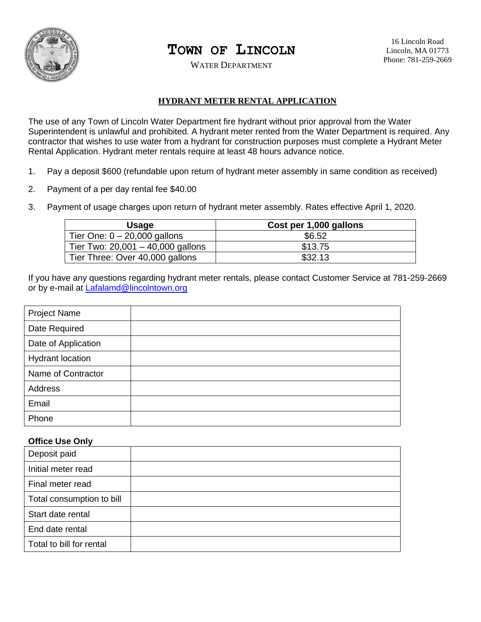

## **TOWN OF LINCOLN**

WATER DEPARTMENT

## **HYDRANT METER RENTAL APPLICATION**

The use of any Town of Lincoln Water Department fire hydrant without prior approval from the Water Superintendent is unlawful and prohibited. A hydrant meter rented from the Water Department is required. Any contractor that wishes to use water from a hydrant for construction purposes must complete a Hydrant Meter Rental Application. Hydrant meter rentals require at least 48 hours advance notice.

- 1. Pay a deposit \$600 (refundable upon return of hydrant meter assembly in same condition as received)
- 2. Payment of a per day rental fee \$40.00
- 3. Payment of usage charges upon return of hydrant meter assembly. Rates effective April 1, 2020.

| <b>Usage</b>                        | Cost per 1,000 gallons |
|-------------------------------------|------------------------|
| Tier One: $0 - 20,000$ gallons      | \$6.52                 |
| Tier Two: $20,001 - 40,000$ gallons | \$13.75                |
| Tier Three: Over 40,000 gallons     | \$32.13                |

If you have any questions regarding hydrant meter rentals, please contact Customer Service at 781-259-2669 or by e-mail at [Lafalamd@lincolntown.org](mailto:Lafalamd@lincolntown.org)

| <b>Project Name</b>     |  |
|-------------------------|--|
| Date Required           |  |
| Date of Application     |  |
| <b>Hydrant location</b> |  |
| Name of Contractor      |  |
| Address                 |  |
| Email                   |  |
| Phone                   |  |

## **Office Use Only**

| Deposit paid              |  |
|---------------------------|--|
| Initial meter read        |  |
| Final meter read          |  |
| Total consumption to bill |  |
| Start date rental         |  |
| End date rental           |  |
| Total to bill for rental  |  |